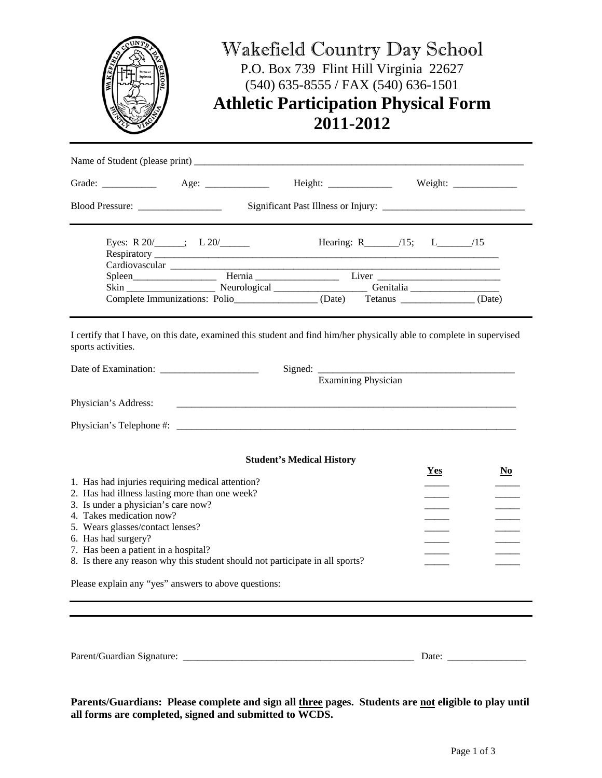|                                                                                                                                             | Wakefield Country Day School<br>P.O. Box 739 Flint Hill Virginia 22627<br>$(540)$ 635-8555 / FAX (540) 636-1501<br><b>Athletic Participation Physical Form</b><br>2011-2012                                                                                                                                                                                                                                              |                                  |                                 |                |  |
|---------------------------------------------------------------------------------------------------------------------------------------------|--------------------------------------------------------------------------------------------------------------------------------------------------------------------------------------------------------------------------------------------------------------------------------------------------------------------------------------------------------------------------------------------------------------------------|----------------------------------|---------------------------------|----------------|--|
|                                                                                                                                             |                                                                                                                                                                                                                                                                                                                                                                                                                          |                                  |                                 |                |  |
|                                                                                                                                             |                                                                                                                                                                                                                                                                                                                                                                                                                          |                                  |                                 |                |  |
|                                                                                                                                             |                                                                                                                                                                                                                                                                                                                                                                                                                          |                                  |                                 |                |  |
|                                                                                                                                             | Eyes: R $20/$ $\qquad \qquad$ $\qquad$ $\qquad$ $\qquad$ $\qquad$ $\qquad$ $\qquad$ $\qquad$ $\qquad$ $\qquad$ $\qquad$ $\qquad$ $\qquad$ $\qquad$ $\qquad$ $\qquad$ $\qquad$ $\qquad$ $\qquad$ $\qquad$ $\qquad$ $\qquad$ $\qquad$ $\qquad$ $\qquad$ $\qquad$ $\qquad$ $\qquad$ $\qquad$ $\qquad$ $\qquad$ $\qquad$ $\qquad$ $\qquad$<br>Complete Immunizations: Polio________________(Date) Tetanus ____________(Date) |                                  | Hearing: R______/15; L______/15 |                |  |
| I certify that I have, on this date, examined this student and find him/her physically able to complete in supervised<br>sports activities. |                                                                                                                                                                                                                                                                                                                                                                                                                          |                                  |                                 |                |  |
|                                                                                                                                             |                                                                                                                                                                                                                                                                                                                                                                                                                          | <b>Examining Physician</b>       |                                 |                |  |
| Physician's Address:                                                                                                                        |                                                                                                                                                                                                                                                                                                                                                                                                                          |                                  |                                 |                |  |
|                                                                                                                                             |                                                                                                                                                                                                                                                                                                                                                                                                                          |                                  |                                 |                |  |
|                                                                                                                                             |                                                                                                                                                                                                                                                                                                                                                                                                                          | <b>Student's Medical History</b> | <b>Yes</b>                      | N <sub>0</sub> |  |

| 1. Has had injuries requiring medical attention?                              |  |  |  |
|-------------------------------------------------------------------------------|--|--|--|
| 2. Has had illness lasting more than one week?                                |  |  |  |
| 3. Is under a physician's care now?                                           |  |  |  |
| 4. Takes medication now?                                                      |  |  |  |
| 5. Wears glasses/contact lenses?                                              |  |  |  |
| 6. Has had surgery?                                                           |  |  |  |
| 7. Has been a patient in a hospital?                                          |  |  |  |
| 8. Is there any reason why this student should not participate in all sports? |  |  |  |
|                                                                               |  |  |  |
| Dlogge explain any "vec" anguiers to above questions:                         |  |  |  |

Please explain any "yes" answers to above questions:

Parent/Guardian Signature: \_\_\_\_\_\_\_\_\_\_\_\_\_\_\_\_\_\_\_\_\_\_\_\_\_\_\_\_\_\_\_\_\_\_\_\_\_\_\_\_\_\_\_\_\_\_\_ Date: \_\_\_\_\_\_\_\_\_\_\_\_\_\_\_\_

**Parents/Guardians: Please complete and sign all three pages. Students are not eligible to play until all forms are completed, signed and submitted to WCDS.**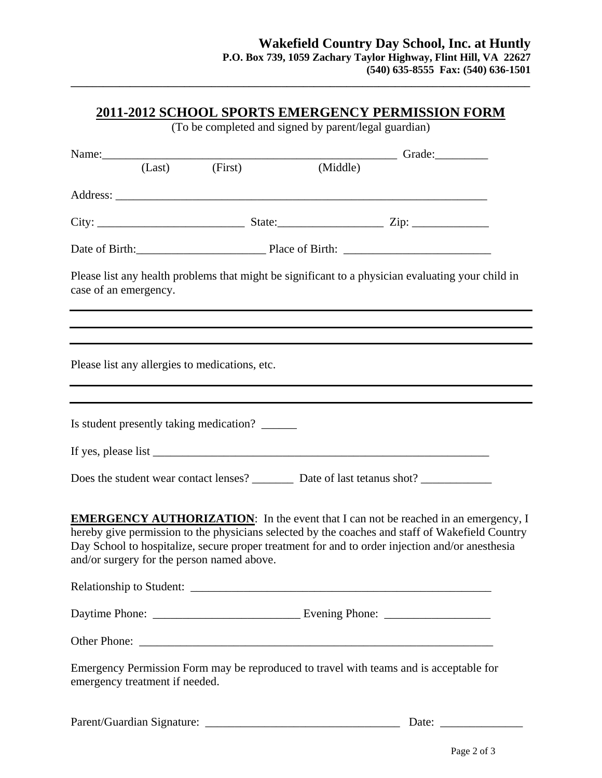|                                                 | (To be completed and signed by parent/legal guardian) |                                                                                                                                                                                                                                                                                                 |
|-------------------------------------------------|-------------------------------------------------------|-------------------------------------------------------------------------------------------------------------------------------------------------------------------------------------------------------------------------------------------------------------------------------------------------|
|                                                 |                                                       |                                                                                                                                                                                                                                                                                                 |
|                                                 |                                                       | Name: Clast (Last) (First) (Middle) Grade:                                                                                                                                                                                                                                                      |
|                                                 |                                                       |                                                                                                                                                                                                                                                                                                 |
|                                                 |                                                       |                                                                                                                                                                                                                                                                                                 |
|                                                 |                                                       |                                                                                                                                                                                                                                                                                                 |
| case of an emergency.                           |                                                       | Please list any health problems that might be significant to a physician evaluating your child in<br><u> 1989 - Johann Stoff, amerikansk politiker (d. 1989)</u>                                                                                                                                |
| Please list any allergies to medications, etc.  |                                                       |                                                                                                                                                                                                                                                                                                 |
| Is student presently taking medication? _______ |                                                       |                                                                                                                                                                                                                                                                                                 |
|                                                 |                                                       |                                                                                                                                                                                                                                                                                                 |
|                                                 |                                                       | Does the student wear contact lenses? ___________ Date of last tetanus shot? _______________________                                                                                                                                                                                            |
| and/or surgery for the person named above.      |                                                       | <b>EMERGENCY AUTHORIZATION:</b> In the event that I can not be reached in an emergency, I<br>hereby give permission to the physicians selected by the coaches and staff of Wakefield Country<br>Day School to hospitalize, secure proper treatment for and to order injection and/or anesthesia |
|                                                 |                                                       |                                                                                                                                                                                                                                                                                                 |
|                                                 |                                                       |                                                                                                                                                                                                                                                                                                 |
|                                                 |                                                       |                                                                                                                                                                                                                                                                                                 |
| emergency treatment if needed.                  |                                                       | Emergency Permission Form may be reproduced to travel with teams and is acceptable for                                                                                                                                                                                                          |

**\_\_\_\_\_\_\_\_\_\_\_\_\_\_\_\_\_\_\_\_\_\_\_\_\_\_\_\_\_\_\_\_\_\_\_\_\_\_\_\_\_\_\_\_\_\_\_\_\_\_\_\_\_\_\_\_\_\_\_\_\_\_\_\_\_\_\_\_\_\_\_\_\_\_\_\_\_\_\_\_\_\_\_\_\_** 

Parent/Guardian Signature: \_\_\_\_\_\_\_\_\_\_\_\_\_\_\_\_\_\_\_\_\_\_\_\_\_\_\_\_\_\_\_\_\_ Date: \_\_\_\_\_\_\_\_\_\_\_\_\_\_